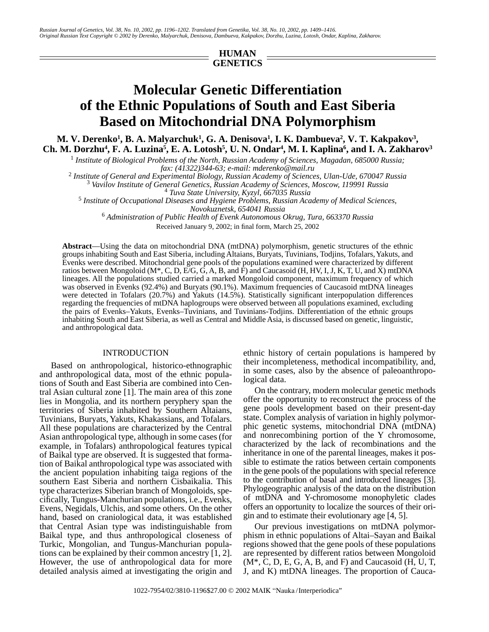*Russian Journal of Genetics, Vol. 38, No. 10, 2002, pp. 1196–1202. Translated from Genetika, Vol. 38, No. 10, 2002, pp. 1409–1416. Original Russian Text Copyright © 2002 by Derenko, Malyarchuk, Denisova, Dambueva, Kakpakov, Dorzhu, Luzina, Lotosh, Ondar, Kaplina, Zakharov.*

# **HUMAN GENETICS**

# **Molecular Genetic Differentiation of the Ethnic Populations of South and East Siberia Based on Mitochondrial DNA Polymorphism**

M. V. Derenko<sup>1</sup>, B. A. Malyarchuk<sup>1</sup>, G. A. Denisova<sup>1</sup>, I. K. Dambueva<sup>2</sup>, V. T. Kakpakov<sup>3</sup>, Ch. M. Dorzhu<sup>4</sup>, F. A. Luzina<sup>5</sup>, E. A. Lotosh<sup>5</sup>, U. N. Ondar<sup>4</sup>, M. I. Kaplina<sup>6</sup>, and I. A. Zakharov<sup>3</sup>

<sup>1</sup> Institute of Biological Problems of the North, Russian Academy of Sciences, Magadan, 685000 Russia; *fax: (41322)344-63; e-mail: mderenko@mail.ru* <sup>2</sup>

 *Institute of General and Experimental Biology, Russian Academy of Sciences, Ulan-Ude, 670047 Russia* <sup>3</sup>

 *Vavilov Institute of General Genetics, Russian Academy of Sciences, Moscow, 119991 Russia* <sup>4</sup>

 *Tuva State University, Kyzyl, 667035 Russia* <sup>5</sup>  *Institute of Occupational Diseases and Hygiene Problems, Russian Academy of Medical Sciences,* 

*Novokuznetsk, 654041 Russia*

6  *Administration of Public Health of Evenk Autonomous Okrug, Tura, 663370 Russia*

Received January 9, 2002; in final form, March 25, 2002

**Abstract**—Using the data on mitochondrial DNA (mtDNA) polymorphism, genetic structures of the ethnic groups inhabiting South and East Siberia, including Altaians, Buryats, Tuvinians, Todjins, Tofalars, Yakuts, and Evenks were described. Mitochondrial gene pools of the populations examined were characterized by different ratios between Mongoloid ( $M^*$ , C, D, E/G, G, A, B, and F) and Caucasoid (H, HV, I, J, K, T, U, and X) mtDNA lineages. All the populations studied carried a marked Mongoloid component, maximum frequency of which was observed in Evenks (92.4%) and Buryats (90.1%). Maximum frequencies of Caucasoid mtDNA lineages were detected in Tofalars (20.7%) and Yakuts (14.5%). Statistically significant interpopulation differences regarding the frequencies of mtDNA haplogroups were observed between all populations examined, excluding the pairs of Evenks–Yakuts, Evenks–Tuvinians, and Tuvinians-Todjins. Differentiation of the ethnic groups inhabiting South and East Siberia, as well as Central and Middle Asia, is discussed based on genetic, linguistic, and anthropological data.

## INTRODUCTION

Based on anthropological, historico-ethnographic and anthropological data, most of the ethnic populations of South and East Siberia are combined into Central Asian cultural zone [1]. The main area of this zone lies in Mongolia, and its northern peryphery span the territories of Siberia inhabited by Southern Altaians, Tuvinians, Buryats, Yakuts, Khakassians, and Tofalars. All these populations are characterized by the Central Asian anthropological type, although in some cases (for example, in Tofalars) anthropological features typical of Baikal type are observed. It is suggested that formation of Baikal anthropological type was associated with the ancient population inhabiting taiga regions of the southern East Siberia and northern Cisbaikalia. This type characterizes Siberian branch of Mongoloids, specifically, Tungus-Manchurian populations, i.e., Evenks, Evens, Negidals, Ulchis, and some others. On the other hand, based on craniological data, it was established that Central Asian type was indistinguishable from Baikal type, and thus anthropological closeness of Turkic, Mongolian, and Tungus-Manchurian populations can be explained by their common ancestry [1, 2]. However, the use of anthropological data for more detailed analysis aimed at investigating the origin and ethnic history of certain populations is hampered by their incompleteness, methodical incompatibility, and, in some cases, also by the absence of paleoanthropological data.

On the contrary, modern molecular genetic methods offer the opportunity to reconstruct the process of the gene pools development based on their present-day state. Complex analysis of variation in highly polymorphic genetic systems, mitochondrial DNA (mtDNA) and nonrecombining portion of the Y chromosome, characterized by the lack of recombinations and the inheritance in one of the parental lineages, makes it possible to estimate the ratios between certain components in the gene pools of the populations with special reference to the contribution of basal and introduced lineages [3]. Phylogeographic analysis of the data on the distribution of mtDNA and Y-chromosome monophyletic clades offers an opportunity to localize the sources of their origin and to estimate their evolutionary age [4, 5].

Our previous investigations on mtDNA polymorphism in ethnic populations of Altai–Sayan and Baikal regions showed that the gene pools of these populations are represented by different ratios between Mongoloid  $(M^*, C, D, E, G, A, B, and F)$  and Caucasoid  $(H, U, T, F)$ J, and K) mtDNA lineages. The proportion of Cauca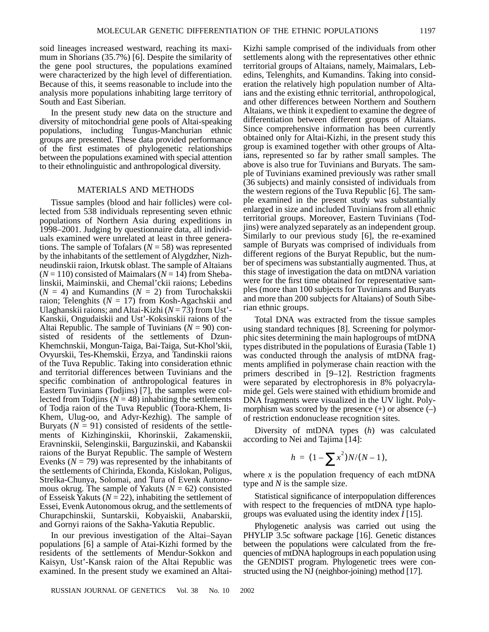soid lineages increased westward, reaching its maximum in Shorians (35.7%) [6]. Despite the similarity of the gene pool structures, the populations examined were characterized by the high level of differentiation. Because of this, it seems reasonable to include into the analysis more populations inhabiting large territory of South and East Siberian.

In the present study new data on the structure and diversity of mitochondrial gene pools of Altai-speaking populations, including Tungus-Manchurian ethnic groups are presented. These data provided performance of the first estimates of phylogenetic relationships between the populations examined with special attention to their ethnolinguistic and anthropological diversity.

### MATERIALS AND METHODS

Tissue samples (blood and hair follicles) were collected from 538 individuals representing seven ethnic populations of Northern Asia during expeditions in 1998–2001. Judging by questionnaire data, all individuals examined were unrelated at least in three generations. The sample of Tofalars (*N* = 58) was represented by the inhabitants of the settlement of Alygdzher, Nizhneudinskii raion, Irkutsk oblast. The sample of Altaians  $(N = 110)$  consisted of Maimalars  $(N = 14)$  from Shebalinskii, Maiminskii, and Chemal'ckii raions; Lebedins  $(N = 4)$  and Kumandins  $(N = 2)$  from Turochakskii raion; Telenghits  $(N = 17)$  from Kosh-Agachskii and Ulaghanskii raions; and Altai-Kizhi (*N* = 73) from Ust'- Kanskii, Ongudaiskii and Ust'-Koksinskii raions of the Altai Republic. The sample of Tuvinians  $(N = 90)$  consisted of residents of the settlements of Dzun-Khemchnskii, Mongun-Taiga, Bai-Taiga, Sut-Khol'skii, Ovyurskii, Tes-Khemskii, Erzya, and Tandinskii raions of the Tuva Republic. Taking into consideration ethnic and territorial differences between Tuvinians and the specific combination of anthropological features in Eastern Tuvinians (Todjins) [7], the samples were collected from Todjins  $(N = 48)$  inhabiting the settlements of Todja raion of the Tuva Republic (Toora-Khem, Ii-Khem, Ulug-oo, and Adyr-Kezhig). The sample of Buryats  $(N = 91)$  consisted of residents of the settlements of Kizhinginskii, Khorinskii, Zakamenskii, Eravninskii, Selenginskii, Barguzinskii, and Kabanskii raions of the Buryat Republic. The sample of Western Evenks ( $N = 79$ ) was represented by the inhabitants of the settlements of Chirinda, Ekonda, Kislokan, Poligus, Strelka-Chunya, Solomai, and Tura of Evenk Autonomous okrug. The sample of Yakuts  $(N = 62)$  consisted of Esseisk Yakuts ( $N = 22$ ), inhabiting the settlement of Essei, Evenk Autonomous okrug, and the settlements of Churapchinskii, Suntarskii, Kobyaiskii, Anabarskii, and Gornyi raions of the Sakha-Yakutia Republic.

In our previous investigation of the Altai–Sayan populations [6] a sample of Atai-Kizhi formed by the residents of the settlements of Mendur-Sokkon and Kaisyn, Ust'-Kansk raion of the Altai Republic was examined. In the present study we examined an Altai-

Kizhi sample comprised of the individuals from other settlements along with the representatives other ethnic territorial groups of Altaians, namely, Maimalars, Lebedins, Telenghits, and Kumandins. Taking into consideration the relatively high population number of Altaians and the existing ethnic territorial, anthropological, and other differences between Northern and Southern Altaians, we think it expedient to examine the degree of differentiation between different groups of Altaians. Since comprehensive information has been currently obtained only for Altai-Kizhi, in the present study this group is examined together with other groups of Altaians, represented so far by rather small samples. The above is also true for Tuvinians and Buryats. The sample of Tuvinians examined previously was rather small (36 subjects) and mainly consisted of individuals from the western regions of the Tuva Republic [6]. The sample examined in the present study was substantially enlarged in size and included Tuvinians from all ethnic territorial groups. Moreover, Eastern Tuvinians (Todjins) were analyzed separately as an independent group. Similarly to our previous study [6], the re-examined sample of Buryats was comprised of individuals from different regions of the Buryat Republic, but the number of specimens was substantially augmented. Thus, at this stage of investigation the data on mtDNA variation were for the first time obtained for representative samples (more than 100 subjects for Tuvinians and Buryats and more than 200 subjects for Altaians) of South Siberian ethnic groups.

Total DNA was extracted from the tissue samples using standard techniques [8]. Screening for polymorphic sites determining the main haplogroups of mtDNA types distributed in the populations of Eurasia (Table 1) was conducted through the analysis of mtDNA fragments amplified in polymerase chain reaction with the primers described in [9–12]. Restriction fragments were separated by electrophoresis in 8% polyacrylamide gel. Gels were stained with ethidium bromide and DNA fragments were visualized in the UV light. Polymorphism was scored by the presence  $(+)$  or absence  $(-)$ of restriction endonuclease recognition sites.

Diversity of mtDNA types (*h*) was calculated according to Nei and Tajima [14]:

$$
h = (1 - \sum x^2)N/(N-1),
$$

where *x* is the population frequency of each mtDNA type and *N* is the sample size.

Statistical significance of interpopulation differences with respect to the frequencies of mtDNA type haplogroups was evaluated using the identity index *I* [15].

Phylogenetic analysis was carried out using the PHYLIP 3.5c software package [16]. Genetic distances between the populations were calculated from the frequencies of mtDNA haplogroups in each population using the GENDIST program. Phylogenetic trees were constructed using the NJ (neighbor-joining) method [17].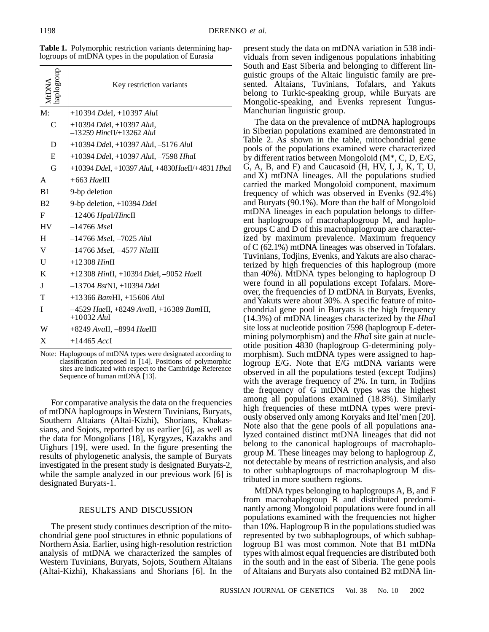| dnosaorder<br><b>MtDNA</b> | Key restriction variants                                     |
|----------------------------|--------------------------------------------------------------|
| M:                         | $+10394$ Ddel, $+10397$ AluI                                 |
| C                          | $+10394$ Ddel, $+10397$ AluI,<br>$-13259$ HincII/+13262 AluI |
| D                          | $+10394$ DdeI, $+10397$ AluI, $-5176$ AluI                   |
| E                          | $+10394$ Ddel, $+10397$ AluI, $-7598$ HhaI                   |
| G                          | $+10394$ Ddel, $+10397$ AluI, $+4830$ HaeII/ $+4831$ HhaI    |
| A                          | $+663$ HaeIII                                                |
| B <sub>1</sub>             | 9-bp deletion                                                |
| B <sub>2</sub>             | 9-bp deletion, $+10394$ Ddel                                 |
| F                          | $-12406$ HpaI/HincII                                         |
| <b>HV</b>                  | $-14766$ MseI                                                |
| H                          | –14766 MseI, –7025 AluI                                      |
| V                          | -14766 MseI, -4577 NlaIII                                    |
| $\mathbf{U}$               | $+12308$ <i>Hinfl</i>                                        |
| K                          | $+12308$ Hinfl, $+10394$ Ddel, $-9052$ Haell                 |
| J                          | $-13704$ BstNI, $+10394$ DdeI                                |
| T                          | $+13366$ BamHI, $+15606$ AluI                                |
| $\mathbf{I}$               | –4529 HaeII, +8249 AvaII, +16389 BamHI,<br>$+10032$ AluI     |
| W                          | +8249 AvaII, -8994 HaeIII                                    |
| X                          | $+14465$ AccI                                                |
|                            |                                                              |

**Table 1.** Polymorphic restriction variants determining haplogroups of mtDNA types in the population of Eurasia

Note: Haplogroups of mtDNA types were designated according to classification proposed in [14]. Positions of polymorphic sites are indicated with respect to the Cambridge Reference Sequence of human mtDNA [13].

For comparative analysis the data on the frequencies of mtDNA haplogroups in Western Tuvinians, Buryats, Southern Altaians (Altai-Kizhi), Shorians, Khakassians, and Sojots, reported by us earlier [6], as well as the data for Mongolians [18], Kyrgyzes, Kazakhs and Uighurs [19], were used. In the figure presenting the results of phylogenetic analysis, the sample of Buryats investigated in the present study is designated Buryats-2, while the sample analyzed in our previous work [6] is designated Buryats-1.

#### RESULTS AND DISCUSSION

The present study continues description of the mitochondrial gene pool structures in ethnic populations of Northern Asia. Earlier, using high-resolution restriction analysis of mtDNA we characterized the samples of Western Tuvinians, Buryats, Sojots, Southern Altaians (Altai-Kizhi), Khakassians and Shorians [6]. In the present study the data on mtDNA variation in 538 individuals from seven indigenous populations inhabiting South and East Siberia and belonging to different linguistic groups of the Altaic linguistic family are presented. Altaians, Tuvinians, Tofalars, and Yakuts belong to Turkic-speaking group, while Buryats are Mongolic-speaking, and Evenks represent Tungus-Manchurian linguistic group.

The data on the prevalence of mtDNA haplogroups in Siberian populations examined are demonstrated in Table 2. As shown in the table, mitochondrial gene pools of the populations examined were characterized by different ratios between Mongoloid (M\*, C, D, E/G, G, A, B, and F) and Caucasoid (H, HV, I, J, K, T, U, and X) mtDNA lineages. All the populations studied carried the marked Mongoloid component, maximum frequency of which was observed in Evenks (92.4%) and Buryats (90.1%). More than the half of Mongoloid mtDNA lineages in each population belongs to different haplogroups of macrohaplogroup M, and haplogroups C and D of this macrohaplogroup are characterized by maximum prevalence. Maximum frequency of C (62.1%) mtDNA lineages was observed in Tofalars. Tuvinians, Todjins, Evenks, and Yakuts are also characterized by high frequencies of this haplogroup (more than 40%). MtDNA types belonging to haplogroup D were found in all populations except Tofalars. Moreover, the frequencies of D mtDNA in Buryats, Evenks, and Yakuts were about 30%. A specific feature of mitochondrial gene pool in Buryats is the high frequency (14.3%) of mtDNA lineages characterized by the *Hha*I site loss at nucleotide position 7598 (haplogroup E-determining polymorphism) and the *Hha*I site gain at nucleotide position 4830 (haplogroup G-determining polymorphism). Such mtDNA types were assigned to haplogroup E/G. Note that E/G mtDNA variants were observed in all the populations tested (except Todjins) with the average frequency of 2%. In turn, in Todjins the frequency of G mtDNA types was the highest among all populations examined (18.8%). Similarly high frequencies of these mtDNA types were previously observed only among Koryaks and Itel'men [20]. Note also that the gene pools of all populations analyzed contained distinct mtDNA lineages that did not belong to the canonical haplogroups of macrohaplogroup M. These lineages may belong to haplogroup Z, not detectable by means of restriction analysis, and also to other subhaplogroups of macrohaplogroup M distributed in more southern regions.

MtDNA types belonging to haplogroups A, B, and F from macrohaplogroup R and distributed predominantly among Mongoloid populations were found in all populations examined with the frequencies not higher than 10%. Haplogroup B in the populations studied was represented by two subhaplogroups, of which subhaplogroup B1 was most common. Note that B1 mtDNa types with almost equal frequencies are distributed both in the south and in the east of Siberia. The gene pools of Altaians and Buryats also contained B2 mtDNA lin-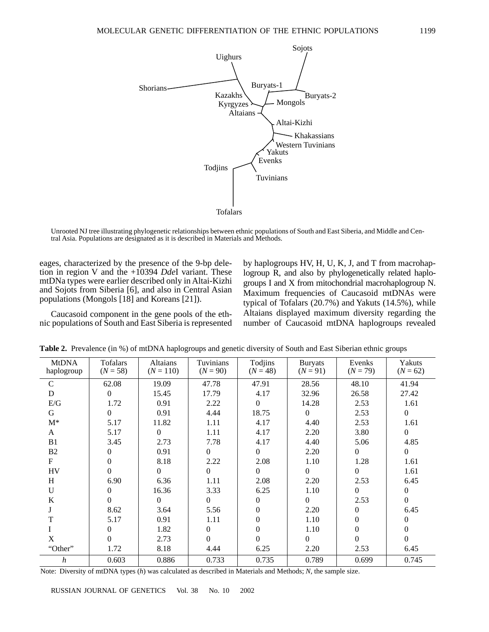

Unrooted NJ tree illustrating phylogenetic relationships between ethnic populations of South and East Siberia, and Middle and Central Asia. Populations are designated as it is described in Materials and Methods.

eages, characterized by the presence of the 9-bp deletion in region V and the +10394 *Dde*I variant. These mtDNa types were earlier described only in Altai-Kizhi and Sojots from Siberia [6], and also in Central Asian populations (Mongols [18] and Koreans [21]).

Caucasoid component in the gene pools of the ethnic populations of South and East Siberia is represented by haplogroups HV, H, U, K, J, and T from macrohaplogroup R, and also by phylogenetically related haplogroups I and X from mitochondrial macrohaplogroup N. Maximum frequencies of Caucasoid mtDNAs were typical of Tofalars (20.7%) and Yakuts (14.5%), while Altaians displayed maximum diversity regarding the number of Caucasoid mtDNA haplogroups revealed

| <b>MtDNA</b><br>haplogroup | Tofalars<br>$(N = 58)$ | Altaians<br>$(N = 110)$ | Tuvinians<br>$(N = 90)$ | Todjins<br>$(N = 48)$ | <b>Buryats</b><br>$(N = 91)$ | Evenks<br>$(N = 79)$ | Yakuts<br>$(N = 62)$ |
|----------------------------|------------------------|-------------------------|-------------------------|-----------------------|------------------------------|----------------------|----------------------|
| $\mathsf{C}$               | 62.08                  | 19.09                   | 47.78                   | 47.91                 | 28.56                        | 48.10                | 41.94                |
| D                          | $\Omega$               | 15.45                   | 17.79                   | 4.17                  | 32.96                        | 26.58                | 27.42                |
| E/G                        | 1.72                   | 0.91                    | 2.22                    | $\theta$              | 14.28                        | 2.53                 | 1.61                 |
| G                          | $\Omega$               | 0.91                    | 4.44                    | 18.75                 | $\Omega$                     | 2.53                 | $\Omega$             |
| $M^*$                      | 5.17                   | 11.82                   | 1.11                    | 4.17                  | 4.40                         | 2.53                 | 1.61                 |
| A                          | 5.17                   | $\Omega$                | 1.11                    | 4.17                  | 2.20                         | 3.80                 | $\overline{0}$       |
| B <sub>1</sub>             | 3.45                   | 2.73                    | 7.78                    | 4.17                  | 4.40                         | 5.06                 | 4.85                 |
| B2                         | $\Omega$               | 0.91                    | $\Omega$                | $\Omega$              | 2.20                         | $\Omega$             | $\Omega$             |
| $F_{\rm}$                  | 0                      | 8.18                    | 2.22                    | 2.08                  | 1.10                         | 1.28                 | 1.61                 |
| <b>HV</b>                  | 0                      | $\Omega$                | $\Omega$                | $\Omega$              | $\Omega$                     | 0                    | 1.61                 |
| H                          | 6.90                   | 6.36                    | 1.11                    | 2.08                  | 2.20                         | 2.53                 | 6.45                 |
| $\mathbf U$                | $\Omega$               | 16.36                   | 3.33                    | 6.25                  | 1.10                         | $\Omega$             | $\Omega$             |
| $\bf K$                    | $\Omega$               | $\Omega$                | $\Omega$                | $\Omega$              | $\Omega$                     | 2.53                 | $\Omega$             |
|                            | 8.62                   | 3.64                    | 5.56                    | 0                     | 2.20                         | 0                    | 6.45                 |
| T                          | 5.17                   | 0.91                    | 1.11                    | 0                     | 1.10                         | $\Omega$             | 0                    |
|                            | $\Omega$               | 1.82                    | 0                       | $\Omega$              | 1.10                         | 0                    | $\Omega$             |
| X                          | 0                      | 2.73                    | $\Omega$                | 0                     | $\Omega$                     | 0                    | $\Omega$             |
| "Other"                    | 1.72                   | 8.18                    | 4.44                    | 6.25                  | 2.20                         | 2.53                 | 6.45                 |
| $\boldsymbol{h}$           | 0.603                  | 0.886                   | 0.733                   | 0.735                 | 0.789                        | 0.699                | 0.745                |

**Table 2.** Prevalence (in %) of mtDNA haplogroups and genetic diversity of South and East Siberian ethnic groups

Note: Diversity of mtDNA types (*h*) was calculated as described in Materials and Methods; *N*, the sample size.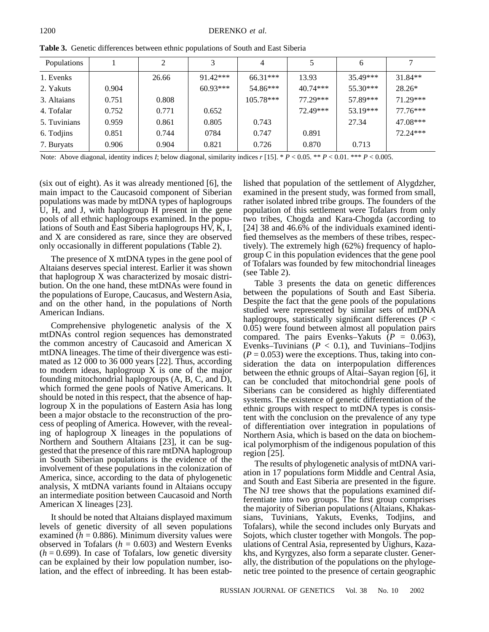| <b>Populations</b> |       |       |            | 4           |            | 6          |            |
|--------------------|-------|-------|------------|-------------|------------|------------|------------|
| 1. Evenks          |       | 26.66 | $91.42***$ | $66.31***$  | 13.93      | 35.49***   | $31.84**$  |
| 2. Yakuts          | 0.904 |       | $60.93***$ | 54.86***    | $40.74***$ | $55.30***$ | $28.26*$   |
| 3. Altaians        | 0.751 | 0.808 |            | $105.78***$ | 77.29***   | 57.89***   | 71.29***   |
| 4. Tofalar         | 0.752 | 0.771 | 0.652      |             | 72.49***   | 53.19***   | $77.76***$ |
| 5. Tuvinians       | 0.959 | 0.861 | 0.805      | 0.743       |            | 27.34      | 47.08***   |
| 6. Todjins         | 0.851 | 0.744 | 0784       | 0.747       | 0.891      |            | $72.24***$ |
| 7. Buryats         | 0.906 | 0.904 | 0.821      | 0.726       | 0.870      | 0.713      |            |

**Table 3.** Genetic differences between ethnic populations of South and East Siberia

Note: Above diagonal, identity indices *I*; below diagonal, similarity indices *r* [15]. \* *P* < 0.05. \*\* *P* < 0.01. \*\*\* *P* < 0.005.

(six out of eight). As it was already mentioned [6], the main impact to the Caucasoid component of Siberian populations was made by mtDNA types of haplogroups U, H, and J, with haplogroup H present in the gene pools of all ethnic haplogroups examined. In the populations of South and East Siberia haplogroups HV, K, I, and X are considered as rare, since they are observed only occasionally in different populations (Table 2).

The presence of X mtDNA types in the gene pool of Altaians deserves special interest. Earlier it was shown that haplogroup X was characterized by mosaic distribution. On the one hand, these mtDNAs were found in the populations of Europe, Caucasus, and Western Asia, and on the other hand, in the populations of North American Indians.

Comprehensive phylogenetic analysis of the X mtDNAs control region sequences has demonstrated the common ancestry of Caucasoid and American X mtDNA lineages. The time of their divergence was estimated as 12 000 to 36 000 years [22]. Thus, according to modern ideas, haplogroup X is one of the major founding mitochondrial haplogroups (A, B, C, and D), which formed the gene pools of Native Americans. It should be noted in this respect, that the absence of haplogroup X in the populations of Eastern Asia has long been a major obstacle to the reconstruction of the process of peopling of America. However, with the revealing of haplogroup X lineages in the populations of Northern and Southern Altaians [23], it can be suggested that the presence of this rare mtDNA haplogroup in South Siberian populations is the evidence of the involvement of these populations in the colonization of America, since, according to the data of phylogenetic analysis, X mtDNA variants found in Altaians occupy an intermediate position between Caucasoid and North American X lineages [23].

It should be noted that Altaians displayed maximum levels of genetic diversity of all seven populations examined ( $h = 0.886$ ). Minimum diversity values were observed in Tofalars ( $h = 0.603$ ) and Western Evenks  $(h = 0.699)$ . In case of Tofalars, low genetic diversity can be explained by their low population number, isolation, and the effect of inbreeding. It has been established that population of the settlement of Alygdzher, examined in the present study, was formed from small, rather isolated inbred tribe groups. The founders of the population of this settlement were Tofalars from only two tribes, Chogda and Kara-Chogda (according to [24] 38 and 46.6% of the individuals examined identified themselves as the members of these tribes, respectively). The extremely high (62%) frequency of haplogroup C in this population evidences that the gene pool of Tofalars was founded by few mitochondrial lineages (see Table 2).

Table 3 presents the data on genetic differences between the populations of South and East Siberia. Despite the fact that the gene pools of the populations studied were represented by similar sets of mtDNA haplogroups, statistically significant differences (*P* < 0.05) were found between almost all population pairs compared. The pairs Evenks–Yakuts (*P* = 0.063), Evenks–Tuvinians  $(P < 0.1)$ , and Tuvinians–Todjins  $(P = 0.053)$  were the exceptions. Thus, taking into consideration the data on interpopulation differences between the ethnic groups of Altai–Sayan region [6], it can be concluded that mitochondrial gene pools of Siberians can be considered as highly differentiated systems. The existence of genetic differentiation of the ethnic groups with respect to mtDNA types is consistent with the conclusion on the prevalence of any type of differentiation over integration in populations of Northern Asia, which is based on the data on biochemical polymorphism of the indigenous population of this region [25].

The results of phylogenetic analysis of mtDNA variation in 17 populations form Middle and Central Asia, and South and East Siberia are presented in the figure. The NJ tree shows that the populations examined differentiate into two groups. The first group comprises the majority of Siberian populations (Altaians, Khakassians, Tuvinians, Yakuts, Evenks, Todjins, and Tofalars), while the second includes only Buryats and Sojots, which cluster together with Mongols. The populations of Central Asia, represented by Uighurs, Kazakhs, and Kyrgyzes, also form a separate cluster. Generally, the distribution of the populations on the phylogenetic tree pointed to the presence of certain geographic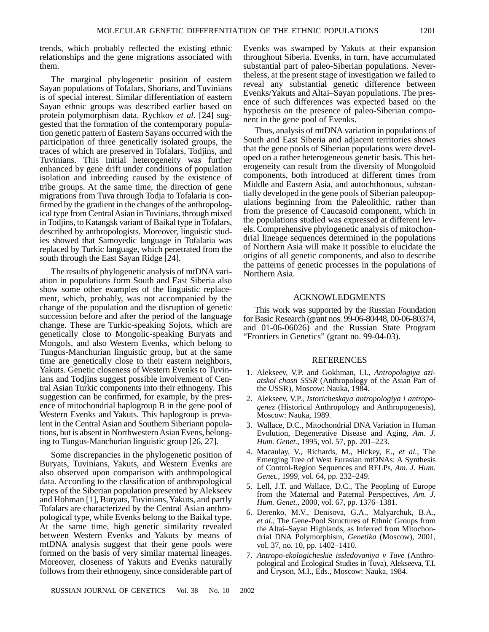trends, which probably reflected the existing ethnic relationships and the gene migrations associated with them.

The marginal phylogenetic position of eastern Sayan populations of Tofalars, Shorians, and Tuvinians is of special interest. Similar differentiation of eastern Sayan ethnic groups was described earlier based on protein polymorphism data. Rychkov *et al.* [24] suggested that the formation of the contemporary population genetic pattern of Eastern Sayans occurred with the participation of three genetically isolated groups, the traces of which are preserved in Tofalars, Todjins, and Tuvinians. This initial heterogeneity was further enhanced by gene drift under conditions of population isolation and inbreeding caused by the existence of tribe groups. At the same time, the direction of gene migrations from Tuva through Todja to Tofalaria is confirmed by the gradient in the changes of the anthropological type from Central Asian in Tuvinians, through mixed in Todjins, to Katangsk variant of Baikal type in Tofalars, described by anthropologists. Moreover, linguistic studies showed that Samoyedic language in Tofalaria was replaced by Turkic language, which penetrated from the south through the East Sayan Ridge [24].

The results of phylogenetic analysis of mtDNA variation in populations form South and East Siberia also show some other examples of the linguistic replacement, which, probably, was not accompanied by the change of the population and the disruption of genetic succession before and after the period of the language change. These are Turkic-speaking Sojots, which are genetically close to Mongolic-speaking Buryats and Mongols, and also Western Evenks, which belong to Tungus-Manchurian linguistic group, but at the same time are genetically close to their eastern neighbors, Yakuts. Genetic closeness of Western Evenks to Tuvinians and Todjins suggest possible involvement of Central Asian Turkic components into their ethnogeny. This suggestion can be confirmed, for example, by the presence of mitochondrial haplogroup B in the gene pool of Western Evenks and Yakuts. This haplogroup is prevalent in the Central Asian and Southern Siberiann populations, but is absent in Northwestern Asian Evens, belonging to Tungus-Manchurian linguistic group [26, 27].

Some discrepancies in the phylogenetic position of Buryats, Tuvinians, Yakuts, and Western Evenks are also observed upon comparison with anthropological data. According to the classification of anthropological types of the Siberian population presented by Alekseev and Hohman [1], Buryats, Tuvinians, Yakuts, and partly Tofalars are characterized by the Central Asian anthropological type, while Evenks belong to the Baikal type. At the same time, high genetic similarity revealed between Western Evenks and Yakuts by means of mtDNA analysis suggest that their gene pools were formed on the basis of very similar maternal lineages. Moreover, closeness of Yakuts and Evenks naturally follows from their ethnogeny, since considerable part of Evenks was swamped by Yakuts at their expansion throughout Siberia. Evenks, in turn, have accumulated substantial part of paleo-Siberian populations. Nevertheless, at the present stage of investigation we failed to reveal any substantial genetic difference between Evenks/Yakuts and Altai–Sayan populations. The presence of such differences was expected based on the hypothesis on the presence of paleo-Siberian component in the gene pool of Evenks.

Thus, analysis of mtDNA variation in populations of South and East Siberia and adjacent territories shows that the gene pools of Siberian populations were developed on a rather heterogeneous genetic basis. This heterogeneity can result from the diversity of Mongoloid components, both introduced at different times from Middle and Eastern Asia, and autochthonous, substantially developed in the gene pools of Siberian paleopopulations beginning from the Paleolithic, rather than from the presence of Caucasoid component, which in the populations studied was expressed at different levels. Comprehensive phylogenetic analysis of mitochondrial lineage sequences determined in the populations of Northern Asia will make it possible to elucidate the origins of all genetic components, and also to describe the patterns of genetic processes in the populations of Northern Asia.

#### ACKNOWLEDGMENTS

This work was supported by the Russian Foundation for Basic Research (grant nos. 99-06-80448, 00-06-80374, and 01-06-06026) and the Russian State Program "Frontiers in Genetics" (grant no. 99-04-03).

## REFERENCES

- 1. Alekseev, V.P. and Gokhman, I.I., *Antropologiya aziatskoi chasti SSSR* (Anthropology of the Asian Part of the USSR), Moscow: Nauka, 1984.
- 2. Alekseev, V.P., *Istoricheskaya antropologiya i antropogenez* (Historical Anthropology and Anthropogenesis), Moscow: Nauka, 1989.
- 3. Wallace, D.C., Mitochondrial DNA Variation in Human Evolution, Degenerative Disease and Aging, *Am. J. Hum. Genet.*, 1995, vol. 57, pp. 201–223.
- 4. Macaulay, V., Richards, M., Hickey, E., *et al.*, The Emerging Tree of West Eurasian mtDNAs: A Synthesis of Control-Region Sequences and RFLPs, *Am. J. Hum. Genet.*, 1999, vol. 64, pp. 232–249.
- 5. Lell, J.T. and Wallace, D.C., The Peopling of Europe from the Maternal and Paternal Perspectives, *Am. J. Hum. Genet.*, 2000, vol. 67, pp. 1376–1381.
- 6. Derenko, M.V., Denisova, G.A., Malyarchuk, B.A., *et al.*, The Gene-Pool Structures of Ethnic Groups from the Altai–Sayan Highlands, as Inferred from Mitochondrial DNA Polymorphism, *Genetika* (Moscow), 2001, vol. 37, no. 10, pp. 1402–1410.
- 7. *Antropo-ekologicheskie issledovaniya v Tuve* (Anthropological and Ecological Studies in Tuva), Alekseeva, T.I. and Uryson, M.I., Eds., Moscow: Nauka, 1984.